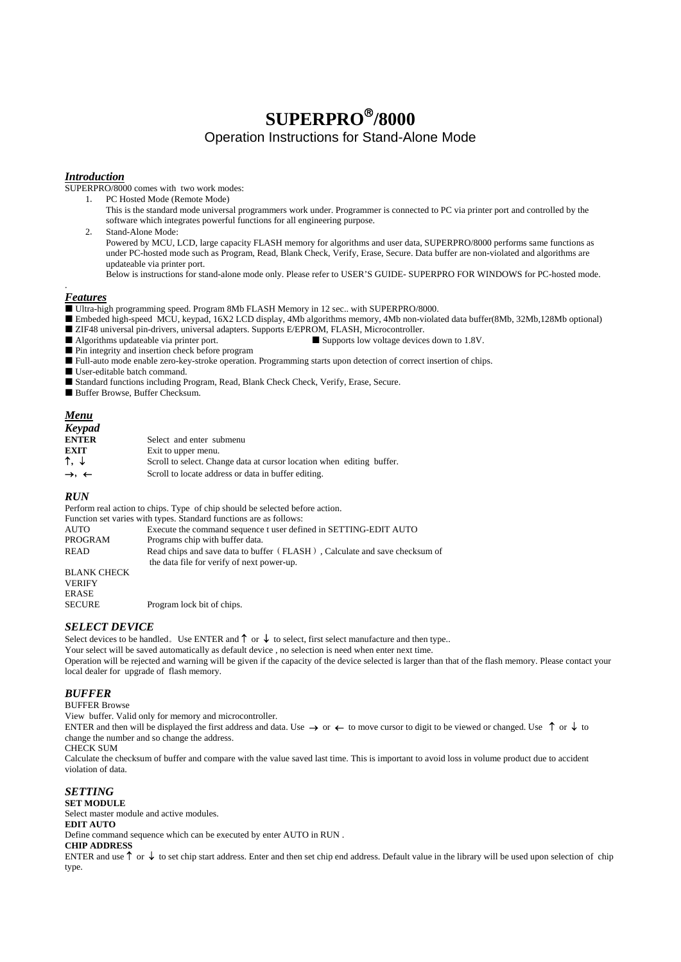# **SUPERPRO**®**/8000**

Operation Instructions for Stand-Alone Mode

#### *Introduction*

SUPERPRO/8000 comes with two work modes:

1. PC Hosted Mode (Remote Mode)

This is the standard mode universal programmers work under. Programmer is connected to PC via printer port and controlled by the software which integrates powerful functions for all engineering purpose.

2. Stand-Alone Mode: Powered by MCU, LCD, large capacity FLASH memory for algorithms and user data, SUPERPRO/8000 performs same functions as under PC-hosted mode such as Program, Read, Blank Check, Verify, Erase, Secure. Data buffer are non-violated and algorithms are updateable via printer port.

Below is instructions for stand-alone mode only. Please refer to USER'S GUIDE- SUPERPRO FOR WINDOWS for PC-hosted mode.

## *Features*

.

■ Ultra-high programming speed. Program 8Mb FLASH Memory in 12 sec.. with SUPERPRO/8000.

■ Embeded high-speed MCU, keypad, 16X2 LCD display, 4Mb algorithms memory, 4Mb non-violated data buffer(8Mb, 32Mb,128Mb optional)

- ZIF48 universal pin-drivers, universal adapters. Supports E/EPROM, FLASH, Microcontroller.
- Algorithms updateable via printer port.  $\Box$  Supports low voltage devices down to 1.8V.

Pin integrity and insertion check before program

Full-auto mode enable zero-key-stroke operation. Programming starts upon detection of correct insertion of chips.

User-editable batch command.

Standard functions including Program, Read, Blank Check Check, Verify, Erase, Secure.

Buffer Browse, Buffer Checksum.

#### *Menu*

| <b>Keypad</b>                |                                                                       |
|------------------------------|-----------------------------------------------------------------------|
| <b>ENTER</b>                 | Select and enter submenu                                              |
| <b>EXIT</b>                  | Exit to upper menu.                                                   |
| ↑. ↓                         | Scroll to select. Change data at cursor location when editing buffer. |
| $\rightarrow$ , $\leftarrow$ | Scroll to locate address or data in buffer editing.                   |

#### *RUN*

Perform real action to chips. Type of chip should be selected before action.

|                              | Function set varies with types. Standard functions are as follows:                                                       |
|------------------------------|--------------------------------------------------------------------------------------------------------------------------|
| AUTO                         | Execute the command sequence t user defined in SETTING-EDIT AUTO                                                         |
| PROGRAM                      | Programs chip with buffer data.                                                                                          |
| READ                         | Read chips and save data to buffer (FLASH), Calculate and save checksum of<br>the data file for verify of next power-up. |
| BLANK CHECK<br><b>VERIFY</b> |                                                                                                                          |

ERASE

SECURE Program lock bit of chips.

## *SELECT DEVICE*

Select devices to be handled. Use ENTER and  $\uparrow$  or  $\downarrow$  to select, first select manufacture and then type..

Your select will be saved automatically as default device , no selection is need when enter next time.

Operation will be rejected and warning will be given if the capacity of the device selected is larger than that of the flash memory. Please contact your local dealer for upgrade of flash memory.

#### *BUFFER*

BUFFER Browse

View buffer. Valid only for memory and microcontroller.

ENTER and then will be displayed the first address and data. Use  $\rightarrow$  or  $\leftarrow$  to move cursor to digit to be viewed or changed. Use  $\uparrow$  or  $\downarrow$  to change the number and so change the address.

CHECK SUM

Calculate the checksum of buffer and compare with the value saved last time. This is important to avoid loss in volume product due to accident violation of data.

#### *SETTING*

**SET MODULE** 

Select master module and active modules.

#### **EDIT AUTO**

Define command sequence which can be executed by enter AUTO in RUN .

#### **CHIP ADDRESS**

ENTER and use ↑or↓to set chip start address. Enter and then set chip end address. Default value in the library will be used upon selection of chip type.